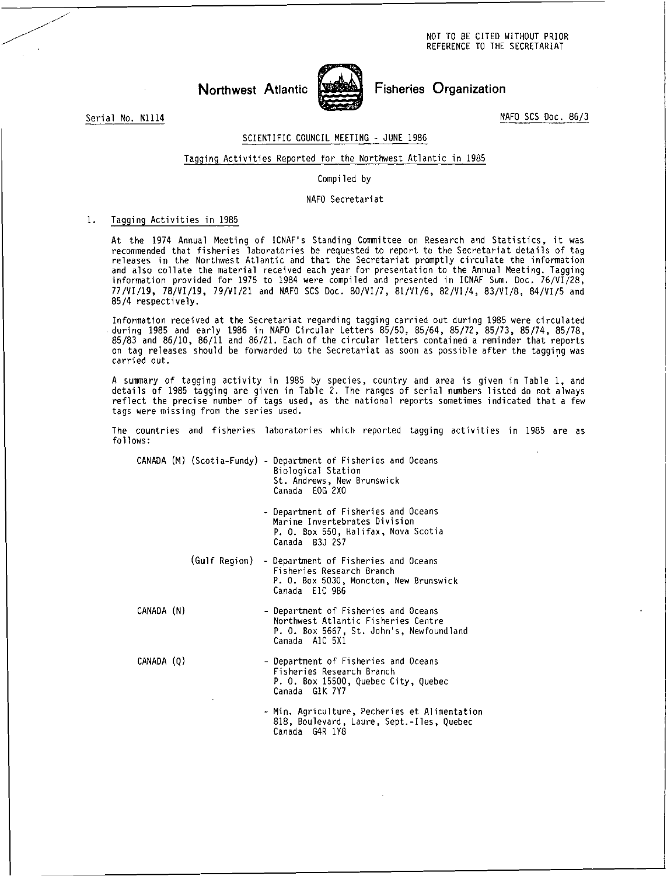NOT TO BE CITED WITHOUT PRIOR REFERENCE TO THE SECRETARIAT

Northwest Atlantic WESS Fisheries Organization

Serial No. N1114 NAFO SCS Doc. 86/3

# SCIENTIFIC COUNCIL MEETING - JUNE 1986

#### Tagging Activities Reported for the Northwest Atlantic in 1985

#### Compiled by

#### NAFO Secretariat

## 1. Tagging Activities in 1985

At the 1974 Annual Meeting of ICNAF's Standing Committee on Research and Statistics, it was recommended that fisheries laboratories be requested to report to the Secretariat details of tag releases in the Northwest Atlantic and that the Secretariat promptly circulate the information and also collate the material received each year for presentation to the Annual Meeting. Tagging information provided for 1975 to 1984 were compiled and presented in ICNAF Sum. Doc. 76/VI/28, 77/VI/19, 78/VI/19, 79/VI/21 and NAFO SCS Doc. 80/VI/7, 81/VI/6, 82/VI/4, 83/VI/8, 84/VI/5 and 85/4 respectively.

Information received at the Secretariat regarding tagging carried out during 1985 were circulated during 1985 and early 1986 in NAFO Circular Letters 85/50, 85/64, 85/72, 85/73, 85/74, 85/78, 85/83 and 86/10, 86/11 and 86/21. Each of the circular letters contained a reminder that reports on tag releases should be forwarded to the Secretariat as soon as possible after the tagging was carried out.

A summary of tagging activity in 1985 by species, country and area is given in Table 1, and details of 1985 tagging are given in Table 2. The ranges of serial numbers listed do not always reflect the precise number of tags used, as the national reports sometimes indicated that a few tags were missing from the series used.

The countries and fisheries laboratories which reported tagging activities in 1985 are as follows:

CANADA (M) (Scotia-Fundy) - Department of Fisheries and Oceans Biological Station St. Andrews, New Brunswick Canada EOG 2X0

> - Department of Fisheries and Oceans Marine Invertebrates Division P. O. Box 550, Halifax, Nova Scotia Canada B3J 2S7

(Gulf Region) - Department of Fisheries and Oceans Fisheries Research Branch P. O. Box 5030, Moncton, New Brunswick Canada E1C 9B6

CANADA (N) - Department of Fisheries and Oceans Northwest Atlantic Fisheries Centre P. O. Box 5667, St. John's, Newfoundland Canada A1C 5X1

CANADA (Q) - Department of Fisheries and Oceans Fisheries Research Branch P. O. Box 15500, Quebec City, Quebec Canada G1K 7Y7

> Min. Agriculture, Pecheries et Alimentation 818, Boulevard, Laure, Sept.-Iles, Quebec Canada G4R 1Y8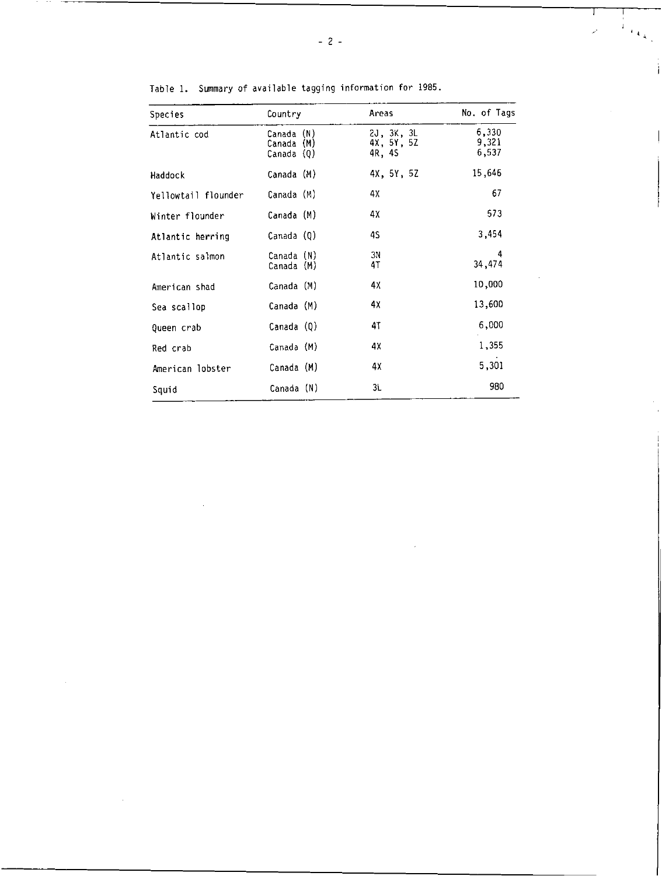| Species             | Country                                   | Areas                              | No. of Tags             |
|---------------------|-------------------------------------------|------------------------------------|-------------------------|
| Atlantic cod        | (N)<br>Canada<br>Canada (M)<br>Canada (Q) | 2J, 3K, 3L<br>4X, 5Y, 5Z<br>4R, 4S | 6,330<br>9,321<br>6,537 |
| Haddock             | Canada (M)                                | 4X, 5Y, 5Z                         | 15,646                  |
| Yellowtail flounder | Canada (M)                                | 4Х                                 | 67                      |
| Winter flounder     | Canada (M)                                | 4Х                                 | 573                     |
| Atlantic herring    | Canada (Q)                                | 4S                                 | 3,454                   |
| Atlantic salmon     | Canada (N)<br>Canada (M)                  | ЗN<br>4T                           | 4<br>34,474             |
| American shad       | Canada (M)                                | 4Х                                 | 10,000                  |
| Sea scallop         | Canada (M)                                | 4Χ                                 | 13,600                  |
| Queen crab          | Canada (Q)                                | 47                                 | 6,000                   |
| Red crab            | Canada (M)                                | 4Х                                 | 1,355                   |
| American lobster    | Canada (M)                                | 4Х                                 | 5,301                   |
| Squid               | Canada (N)                                | 3L                                 | 980                     |

Table 1. Summary of available tagging information for 1985.

 $-$ 

 $\mathbf{1}$ 

 $\ddot{4}$ 

ì

 $\mathbf{r}$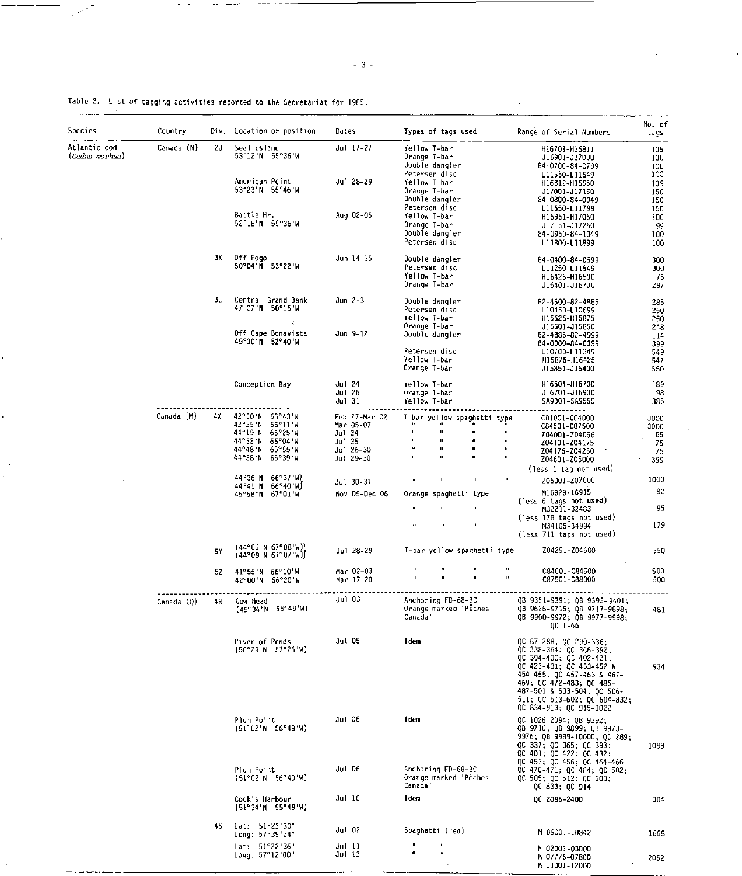| Species                                      | Country    |     | Div. Location or position                                                                                               | Dates                                                                    | Types of tags used                                                                                                | Range of Serial Numbers                                                                                                                                                                                                                                         | No. of<br>tags                                |
|----------------------------------------------|------------|-----|-------------------------------------------------------------------------------------------------------------------------|--------------------------------------------------------------------------|-------------------------------------------------------------------------------------------------------------------|-----------------------------------------------------------------------------------------------------------------------------------------------------------------------------------------------------------------------------------------------------------------|-----------------------------------------------|
| Atlantic cod<br>Canada (N)<br>(Gadus morhua) |            | 2J  | Seal island<br>53°12'N 55°36'W<br>American Point<br>53°23'N 55°46'W                                                     | Jul 17-27<br>Jul 28-29                                                   | Yellow T-bar<br>Orange T-bar<br>Double dangler<br>Petersen disc<br>Yellow T-bar<br>Orange T-bar<br>Double dangler | H16701-H16811<br>J16901-J17000<br>84-0700-84-0799<br>L11550-L11649<br>H16812-H16950<br>J17001-J17150<br>84-0800-84-0949                                                                                                                                         | 106<br>100<br>100<br>100<br>139<br>150<br>150 |
|                                              |            |     | Battle Hr.<br>52°18'N 55°36'W                                                                                           | Aug 02-05                                                                | Petersen disc<br>Yellow T-bar<br>Orange T-bar<br>Double dangler<br>Petersen disc                                  | L11650-L11799<br>H16951-H17050<br>J17151-J17250<br>84-0950-84-1049<br>L11800-L11899                                                                                                                                                                             | 150<br>100<br>99<br>100<br>100                |
|                                              |            | ЗΚ. | Off Fogo<br>50°04'N 53°22'W                                                                                             | Jun 14-15                                                                | Double dangler<br>Petersen disc<br>Yellow T-bar<br>Orange T-bar                                                   | 84-0400-84-0699<br>L11250-L11549<br>H16426-H16500<br>J16401-J16700                                                                                                                                                                                              | 300<br>300<br>75<br>297                       |
|                                              |            | 3L  | Central Grand Bank<br>47° 07'N 50°15'W                                                                                  | Jun 2-3                                                                  | Double dangler<br>Petersen disc<br>Yellow I-bar<br>Orange T-bar                                                   | 82-4600-82-4885<br>L10450-L10699<br>H15626-H15875                                                                                                                                                                                                               | 285<br>250<br>250                             |
|                                              |            |     | Off Cape Bonavista<br>49°00'N 52°40'W                                                                                   | Jun 9-12                                                                 | Double dangler<br>Petersen disc<br>Yellow T-bar<br>Orange T-bar                                                   | J15601-J15850<br>82-4886-82-4999<br>84-0000-84-0399<br>L10700-L11249<br>H15876-H16425<br>J15851-J16400                                                                                                                                                          | 248<br>114<br>399<br>549<br>547<br>550        |
|                                              |            |     | Conception Bay                                                                                                          | Jul 24<br>Jul 26<br>Jul 31                                               | Yellow T-bar<br>Orange T-bar<br>Yellow T-bar                                                                      | H16501-H16700<br>J16701-J16900<br>SA9001-SA9550                                                                                                                                                                                                                 | 189<br>198<br>385                             |
|                                              | Canada (M) | 4X  | 42°30'N<br>65°43'W<br>42°35'N<br>66°11 W<br>44°19'N 66°25'W<br>44°32'N 66°04'W<br>44°48'N 65°55'W<br>44°38'N<br>66°39'W | Feb 27-Mar 02<br>Mar 05-07<br>Jul 24<br>Jul 25<br>Jul 26-30<br>Jul 29-30 | T-bar yellow spagnetti type<br>B.<br>$^{13}$<br>$\mathbf{u}$<br>и<br>t)<br>n<br>$\mathbf{u}$<br>$\mathbf{H}$      | C81001-C84000<br>C84501-C87500<br>Z04001-Z04066<br>$\bullet$<br>Z04ł01-Z04175<br>$\mathbf{u}$<br>Z04176-Z04250<br>$\mathbf{0}$<br>Z04601-Z05000                                                                                                                 | 3000<br>3000<br>66<br>75<br>75<br>399         |
|                                              |            |     | 44°36'N 66°37'W)<br>44°41'N 66°40'W)<br>45°58'N 67°01'W                                                                 | Jul 30-31<br>Nov 05-Dec 06                                               | $\mathbf{u}$<br>$\mathbf{R}$<br>Orange spaghetti type<br>$\mathbf{B}$<br>$\mathbf{u}$                             | (less 1 tag not used)<br>Z06001-Z07000<br>M16828-16915<br>(less 6 tags not used)<br>M32211-32483<br>(less 178 tags not used)                                                                                                                                    | 1000<br>82<br>95                              |
|                                              |            | 5۲  | (44°06'N 67°08'W)}<br>(44°09'N 67°07'W)                                                                                 | Jul 28-29                                                                | T-bar yellow spaghetti type                                                                                       | M34105-34994<br>(less 711 tags not used)<br>Z04251-Z04600                                                                                                                                                                                                       | 179<br>350                                    |
|                                              |            | 5Ζ  | 41°55'N 66°10'W<br>42°00'N 56°20'W                                                                                      | Mar 02-03<br>Mar 17-20                                                   |                                                                                                                   | u<br>C84001-C84500<br>C87501-C88000                                                                                                                                                                                                                             | 500<br>500                                    |
|                                              | Canada (0) | 4R  | Cow Head<br>$(49°34'$ N 55°49'W)                                                                                        | Jul 03                                                                   | Anchoring FD-68-BC<br>Orange marked Peches<br>Canada'                                                             | QB 9351-9391; QB 9393-9401;<br>QB 9626-9715; QB 9717-9898;<br>QB 9900-9972; QB 9977-9998;<br>QC 1-66                                                                                                                                                            | 481                                           |
|                                              |            |     | River of Ponds<br>(50°29'h 57°26'h)                                                                                     | Jul 05                                                                   | Idem                                                                                                              | QC 67-288; QC 290-336;<br>$OC$ 338-364; $OC$ 366-392;<br>QC 394-400; QC 402-421,<br>QC 423-431; QC 433-452 &<br>454-455; QC 457-463 & 467-<br>469; QC 472-483; QC 485-<br>487-501 & 503-504; OC 506-<br>511; QC 513-602; OC 604-832;<br>QC 834-913; OC 915-1022 | 934                                           |
|                                              |            |     | Plum Point<br>(51°02'N 56°49'W)                                                                                         | Jul 06                                                                   | I dem                                                                                                             | QC 1026-2094; QB 9392;<br>QB 9716; QB 9899; QB 9973-<br>9976; QB 9999-10000; QC 289;<br>QC 337; QC 365; QC 393;<br>QC 401; QC 422; QC 432;<br>QC 453; QC 456; QC 464-466                                                                                        | 1098                                          |
|                                              |            |     | Plum Point<br>(51°02'N 56°49'W)                                                                                         | Jul 06                                                                   | Anchoring FD-68-BC<br>Orange marked 'Péches<br>Canada'                                                            | QC 470-471; QC 484; QC 502;<br>QC 505; QC 512; QC 603;<br>QC 833; QC 914                                                                                                                                                                                        |                                               |
|                                              |            |     | Cook's Harbour<br>(51°34' N 55°49' W)                                                                                   | Jul 10                                                                   | Idem                                                                                                              | OC 2096-2400                                                                                                                                                                                                                                                    | 304                                           |
|                                              |            | 4S  | Lat. 51°23'30"<br>Long: 57°39'24"                                                                                       | Jul 02                                                                   | Spaghetti (red)                                                                                                   | M 09001-10842                                                                                                                                                                                                                                                   | 1668                                          |
|                                              |            |     | Lat: 51°22'36"<br>Long: 57°12'00"                                                                                       | Jul 11<br>Jul 13                                                         | и<br>$\mathbf{0}$<br>a<br>$\mathbf{u}_1$                                                                          | M 02001-03000<br>M 07776-07800<br>M 11001-12000                                                                                                                                                                                                                 | 2052                                          |

Table 2. List of tagging activities reported to the Secretariat for 1985.

 $\label{eq:2} \begin{split} \mathcal{L}_{\mathcal{A}}(\mathcal{L}_{\mathcal{A}}) & \leq \mathcal{L}_{\mathcal{A}}(\mathcal{L}_{\mathcal{A}}) \mathcal{L}_{\mathcal{A}}(\mathcal{L}_{\mathcal{A}}) + \mathcal{L}_{\mathcal{A}}(\mathcal{L}_{\mathcal{A}}) \mathcal{L}_{\mathcal{A}}(\mathcal{L}_{\mathcal{A}}) \end{split}$ 

 $\overline{\mathbb{R}}$ 

Ŷ,

1

ł,

 $\sim$ 

 $\bar{1}$ 

 $\frac{1}{2}$ 

ł,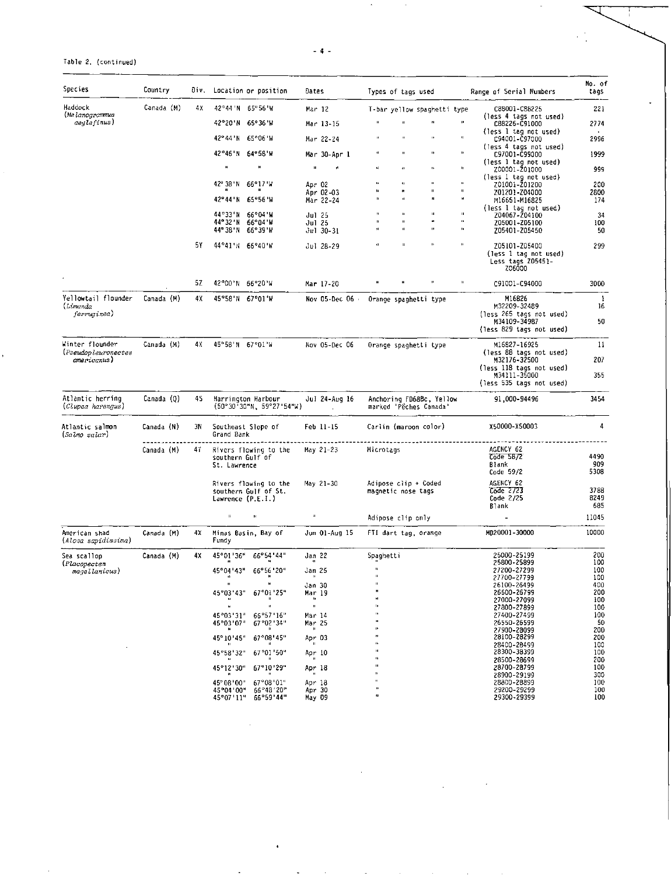-4-

 $\mathbf{r}$ 

 $\bar{a}$ 

### Table 2. (continued)

.

| Species                                | Country    |    | Div. Location or position                           | Dates                                        | Types of tags used                                               | Range of Serial Numbers                                               | No. of<br>tags |
|----------------------------------------|------------|----|-----------------------------------------------------|----------------------------------------------|------------------------------------------------------------------|-----------------------------------------------------------------------|----------------|
| Haddock<br>(Melanogrammus              | Canada (M) | 4Х | 42°44'N 65°56'W                                     | Mar 12                                       | T-bar yellow spaghetti type                                      | C88001-C88225                                                         | 221            |
| aeglefinus)                            |            |    | 42°20'N 55°36'W                                     | Mar 13-15                                    | n                                                                | (less 4 tags not used)<br>C88226-C91000                               | 2774           |
|                                        |            |    | 42° 44 'N<br>65°06 W                                | Mar 22-24                                    | $\mathbf{q}$<br>$\mathbf{D}$                                     | (less 1 tag not used)<br>C94001-C97000                                | 2996           |
|                                        |            |    | 42°46'N<br>64°58'W                                  | Mar 30-Apr l                                 | n<br>$\pmb{\cdot}$<br>ĸ                                          | (less 4 tags not used)<br>C97001-C99000                               | 1999           |
|                                        |            |    | $\mathbf{H}$<br>×                                   | Ĥ.                                           | $\mathbf{a}$<br>o,<br>n                                          | (less 1 tag not used)<br>200001-201000                                | 999            |
|                                        |            |    | 42° 38'N<br>66°17 W                                 | Apr 02                                       | $\mathbf{u}$<br>H,<br>H,<br>и<br>H<br>ję.<br>$\mathbf{u}$<br>л   | (less 1 tag not used)<br>Z01001-Z01200                                | 200            |
|                                        |            |    | 42°44'N<br>65°56 W                                  | Apr 02-03<br>Mar 22-24                       | u.<br>л<br>$\mathbf{u}$                                          | 201201-204000<br>M16651-M16825                                        | 2800<br>174    |
|                                        |            |    | 44°33'N<br>66°04 W                                  | Jul 25                                       | $\mathbf{H}$<br>$\mathbf{u}$                                     | (less 1 tag not used)<br>Z04067-Z04100                                | 34             |
|                                        |            |    | 44° 32 'N<br>66°04 W<br>44°38'N 66°39'W             | Jul 25<br>Jul 30-31                          | ă1<br>$\mathbf{a}$<br>u.<br>'n,<br>H.<br>$\pmb{\mathsf{u}}$<br>n | Z05001-Z05100<br>Z05401-Z05450                                        | 100<br>50      |
|                                        |            | 5Y | 44°41'N 66°40'M                                     | Jul 28-29                                    | $\mathbf{u}$<br>u,<br>$\bullet$<br>$\mathbf{u}$                  | Z05101-Z05400<br>(less 1 tag not used)<br>Less tags Z05451-<br>Z06000 | 299            |
|                                        |            | 52 | 42°00'N<br>66°20'W                                  | Mar 17-20                                    | $\mathbf{u}$                                                     | C91001-C94000                                                         | 3000           |
| Yellowtail flounder<br>(Limanda        | Canada (M) | 4Χ | 45°58'N<br>67°01'W                                  | Nov 05-Dec 06 ·                              | Orange spaghetti type                                            | M16826<br>M32209-32489                                                | -1<br>16       |
| jerruginea)                            |            |    |                                                     |                                              |                                                                  | (less 265 tags not used)<br>M34109-34987                              | 50             |
|                                        |            |    |                                                     |                                              |                                                                  | (less 829 tags not used)                                              |                |
| Winter flounder<br>(Pseudopleuronectes | Canada (M) | 4X | 45°58'N 67°01'W                                     | Nov 05-Dec 06                                | Orange spaghetti type                                            | M16827-16925                                                          | 11             |
| americanus)                            |            |    |                                                     |                                              |                                                                  | (less 88 tags not used)<br>M32176-32500                               | 207            |
|                                        |            |    |                                                     |                                              |                                                                  | (less 118 tags not used)<br>M34111-35000<br>(less 535 tags not used)  | 355            |
| Atlantic herring<br>(Clupea harengus)  | Canada (Q) | 4S | Harrington Harbour<br>(50°30'30"N, 59°27'54"W)      | Jul 24-Aug 16<br>$\mathcal{L}^{\mathcal{L}}$ | Anchoring FD68Bc, Yellow<br>marked 'Pêches Canada'               | 91,000-94496                                                          | 3454           |
| Atlantic salmon<br>(Salmo salar)       | Canada (N) | 3N | Southeast Slope of<br>Grand Bank                    | Feb 11-15                                    | Carlin (maroon color)                                            | X50000-X50003                                                         | 4              |
|                                        | Canada (M) | 47 | Rivers flowing to the                               | May 21-23                                    | Microtags                                                        | AGENCY 62<br>Code 58/2                                                | 4490           |
|                                        |            |    | southern Gulf of<br>St. Lawrence                    |                                              |                                                                  | Blank<br>Code 59/2                                                    | 909<br>5308    |
|                                        |            |    | Rivers flowing to the                               | May 21-30                                    | Adipose clip + Coded                                             | AGENCY 62                                                             |                |
|                                        |            |    | southern Gulf of St.<br>Lawrence (P.E.I.)           |                                              | magnetic nose tags                                               | Code 2723<br>Code 2/25                                                | 3788<br>8249   |
|                                        |            |    | $\mathbf{B}^{\prime}$<br>$\mathbf{H}$               | $\mathbf{u}$                                 | Adipose clip only                                                | B1ank                                                                 | 685<br>11045   |
| American shad                          | Canada (M) | 4Х | Minas Basin, Bay of                                 | Jun 01-Aug 15                                | FTI dart tag, orange                                             | MD20001-30000                                                         | 10000          |
| (Alosa sapidisvima)                    |            |    | Fundy                                               |                                              |                                                                  |                                                                       |                |
| Sea scallop<br>(Placopecten            | Canada (M) | 4Х | 45°01'36" 66°54'44"                                 | Jan 22                                       | Spaghetti                                                        | 25000-25199<br>25800-25899                                            | 200<br>100     |
| magellanicus)                          |            |    | '04'43"<br>66°56<br>'20<br>45'<br>$\bullet$<br>л    | Jan 25<br>$\mathbf n$                        | Ĥ.                                                               | 27200-27299<br>27700-27799                                            | 100<br>100     |
|                                        |            |    | $\mathbf{H}$<br>45°03'43"<br>67°01'25"              | Jan 30<br>Mar 19                             | Ш                                                                | 26100-26499<br>26600-26799                                            | 400<br>200     |
|                                        |            |    | $\mathbf{H}$<br>н<br>H.                             | $\mathbf{u}$                                 | u<br>ij,                                                         | 27000-27099                                                           | 100            |
|                                        |            |    | 45°03'31"<br>66°57"16"                              | Mar 14                                       | n                                                                | 27800-27899<br>27400-27499                                            | 100<br>100     |
|                                        |            |    | 67°02'34"<br>45°03′07″<br>и<br>$\pmb{\mathfrak{u}}$ | Mar 25<br>и                                  | n                                                                | 26550-26599<br>27900-28099                                            | 50<br>200      |
|                                        |            |    | 45°10'45"<br>$67^{\circ}08'$ 45"<br>H.              | Apr 03<br>$\mathbf{H}$                       | $\bullet$                                                        | 28100-28299                                                           | 200            |
|                                        |            |    | $\mathbf{H}$<br>67°01'50"<br>45°58'32"              | Apr 10                                       | и                                                                | 28400-28499<br>28300-38399                                            | 100<br>100     |
|                                        |            |    | $\bullet$<br>45°12'30"<br>67°10'29"                 | п<br>Apr 18                                  | $\bullet$<br>u,                                                  | 28500-28699<br>28700-28799                                            | 200<br>100     |
|                                        |            |    | $\mathbf{u}$<br>$\mathbf{u}$                        | $\mathbf{u}$                                 | $\mathbf{H}$<br>$\mathbf{u}$                                     | 28900-29199                                                           | 300            |
|                                        |            |    | 67°08'01"<br>45° 08 '00"<br>66°48'20"<br>45°04′00″  | Apr 18<br>Apr 30                             | ö                                                                | 28800-28899<br>29200-29299                                            | 100<br>100     |
|                                        |            |    | 45°07'11"<br>66°59'44"                              | May 09                                       |                                                                  | 29300~29399                                                           | 100            |

 $\overline{\phantom{a}}$ 

 $\ddot{\phantom{a}}$ 

 $\sim 10^{11}$ 

 $\ddot{\bullet}$ 

**Contract**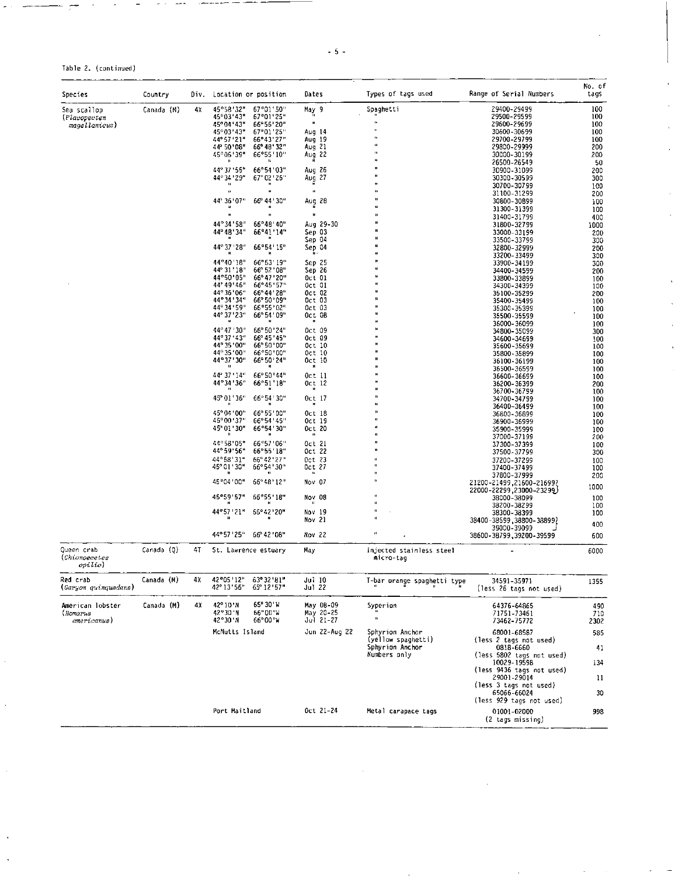| ٦ | ۰. |  |  |
|---|----|--|--|
|---|----|--|--|

Table 2. (continued)

| <b>Species</b>                         | Country    | Diν. | Location or position                                    | Dates                   | Types of tags used                    | Range of Serial Numbers                  | No. of<br>tags |
|----------------------------------------|------------|------|---------------------------------------------------------|-------------------------|---------------------------------------|------------------------------------------|----------------|
| Sea scallop                            | Canada (M) | 4Х   | 45°58'32"<br>67°01′50″                                  | May 9                   | Spaghetti                             | 29400-29499                              | 100            |
| (Placopecten                           |            |      | 45°03′43″<br>67°01'25"                                  | $\mathbf{u}$<br>H       | $\ddot{\phantom{1}}$                  | 29500-29599                              | 100            |
| magellanicus)                          |            |      | 45° 04 ' 43"<br>66°56'20"<br>67°01'25"<br>45°03′43″     | Aug 14                  | $\mathbf{u}$                          | 29600-29699<br>30600-30699               | 100<br>100     |
|                                        |            |      | 44° 57 ' 21"<br>66° 43′ 27″                             | Aug 19                  | в                                     | 29700-29799                              | 100            |
|                                        |            |      | 44' 50' 08"<br>66° 48′32″                               | Aug 21                  | $\ddot{\phantom{a}}$<br>41            | 29800-29999                              | 200            |
|                                        |            |      | 45°06′39″<br>66°55'10"                                  | Aug 22                  |                                       | 30000-30199                              | 200            |
|                                        |            |      | 44° 37 '55"<br>66°54'03"                                | 26<br>Aug               |                                       | 26500-26549<br>30900-31099               | 50<br>200      |
|                                        |            |      | 44° 34' 29"<br>67° 02′ 26″                              | 27<br>Aug               |                                       | 30300-30599                              | 300            |
|                                        |            |      |                                                         | $\overline{\mathbf{u}}$ |                                       | 30700-30799                              | 100            |
|                                        |            |      | 44° 36' 07"<br>66° 44' 30"                              |                         | Đ                                     | 31100-31299                              | 200            |
|                                        |            |      |                                                         | Aug 28                  |                                       | 30800-30899<br>31300-31399               | 100<br>100     |
|                                        |            |      |                                                         | Ū.                      | и                                     | 31400-31799                              | 400            |
|                                        |            |      | 44°34'58"<br>66°48'40"                                  | Aug 29-30               |                                       | 31800-32799                              | 1000           |
|                                        |            |      | 44° 48′ 34′<br>66°41′14′                                | Sep 03                  |                                       | 33000-33199                              | 200            |
|                                        |            |      | 66°54'15"<br>44° 37' 28"                                | Sep 04<br>Sep 04        |                                       | 33500-33799<br>32800-32999               | 300<br>200     |
|                                        |            |      |                                                         |                         |                                       | 33200-33499                              | 300            |
|                                        |            |      | 44°40'18"<br>66°53'19"                                  | Sep 25                  |                                       | 33900-34199                              | 300            |
|                                        |            |      | 44° 31′ 18<br>56° 52′ 08″                               | Sep 26                  |                                       | 34400-34599                              | 200            |
|                                        |            |      | 44°50'05"<br>66° 47′ 20"<br>44° 49′ 46″<br>66°45′57″    | Oct 01<br>Oct 01        |                                       | 33800-33899<br>34300-34399               | 100<br>100     |
|                                        |            |      | 44° 36′ 06″<br>66°44′28″                                | Oct 02                  |                                       | 35100-35299                              | 200            |
|                                        |            |      | 44° 34′ 34″<br>66°50′09″                                | Oct 03                  |                                       | 35400-35499                              | 100            |
|                                        |            |      | 44° 34′ 59″<br>66°55'02"                                | Oct 03                  |                                       | 35300-35399                              | 100            |
|                                        |            |      | 44° 37' 23"<br>66° 54′ 09″                              | Oct 08<br>ш             |                                       | 35500-35599<br>36000-36099               | 100<br>100     |
|                                        |            |      | 44° 47 30<br>66° 50′ 24′                                | Oct 09                  |                                       | 34800-35099                              | 300            |
|                                        |            |      | 44° 37′ 43″<br>56° 45 45 '                              | Oct 09                  |                                       | 34600-34699                              | 100            |
|                                        |            |      | 44° 35 '00"<br>66° 50 '00"<br>44° 35 '00"<br>66°50'00"  | Oct 10                  |                                       | 35600-35699                              | 100            |
|                                        |            |      | 44°37′30″<br>66° 50′ 24″                                | Oct 10<br>Oct 10        |                                       | 35800-35899<br>36100-36199               | 100<br>100     |
|                                        |            |      |                                                         | н                       |                                       | 36500-36599                              | 100            |
|                                        |            |      | 44° 37 ' 14"<br>56°50'44"                               | Oct 11                  |                                       | 36600-36699                              | 100            |
|                                        |            |      | 44°34′36<br>66°51 18"                                   | Oct 12<br>m             |                                       | 36200-36399                              | 200            |
|                                        |            |      | 45° 01' 36"<br>66° 54 ' 30"                             | Oct 17                  |                                       | 36700-36799<br>34700-34799               | 100<br>100     |
|                                        |            |      |                                                         | л                       |                                       | 36400–36499                              | 100            |
|                                        |            |      | 45° 04 '00"<br>66°55'00"                                | Oct 18                  | D                                     | 36800-36899                              | 100            |
|                                        |            |      | $45^{\circ}00'37'$<br>66°54'45"<br>45° 01 ' 30"         | Oct 19<br>Oct 20        |                                       | 36900-36999                              | 100            |
|                                        |            |      | 66°54′30″                                               | $\bullet$               |                                       | 35900-35999<br>37000-37199               | 100<br>200     |
|                                        |            |      | 44"58'05"<br>66°57'06"                                  | Oct 21                  |                                       | 37300-37399                              | 100            |
|                                        |            |      | 44° 59' 56"<br>66°55 18"                                | Oct 22                  |                                       | 37500-37799                              | 300            |
|                                        |            |      | 66° 42' 27"<br>44°58'31"                                | $0ct$ 23                |                                       | 37200-37299                              | 100            |
|                                        |            |      | 45° 01′30″<br>66°54′30″                                 | Oct 27                  |                                       | 37400-37499<br>37800-37999               | 100<br>200     |
|                                        |            |      | 45°04'00"<br>$66^{\circ}48'12''$                        | Nov 07                  |                                       | 21200-21499,21600-21699?                 |                |
|                                        |            |      |                                                         |                         |                                       | 22000-22299,23000-23299                  | 1000           |
|                                        |            |      | 45°59'57"<br>66°55'18"                                  | Nov 08<br>$\mathbf{R}$  |                                       | 38000-38099                              | 100            |
|                                        |            |      | 44°57'21"<br>66°42'20"                                  | Nov 19                  |                                       | 38200-38299<br>38300-38399               | 100<br>100     |
|                                        |            |      |                                                         | Nov 21                  |                                       | 38400-38599,38800-38899)                 |                |
|                                        |            |      |                                                         |                         |                                       | 39000-39099                              | 400            |
|                                        |            |      | 44°57'25"<br>66° 42 ' 08"                               | Nov 22                  |                                       | 38600-38799, 39200-39599                 | 600            |
| Queen crab<br>(Chionoecetes<br>opilio) | Canada (Q) | 47   | St. Lawrence estuary                                    | May                     | injected stainless steel<br>micro-tag |                                          | 6000           |
| Red crab<br>(Geryon quinquedens)       | Canada (M) | 4Х   | 42°05'12"<br>63° 32 ' 81"<br>65° 12' 57"<br>42° 13′ 56″ | Jul 10<br>Jul 22        | T-bar orange spagnetti type           | 34591-35971<br>(less 26 tags not used)   | 1355           |
| American lobster<br>(Homarus           | Canada (M) | 4Х   | 42° 10'N<br>65° 30′ W<br>42°30'N<br>66°00 W             | May 08-09<br>May 20-25  | Syperion<br>$\mathbf{a}$              | 64376-64865<br>71751-73461               | 490<br>710     |
| americanus)                            |            |      | 42°30'N<br>66°00 W                                      | Jul 21-27               |                                       | 73462-75772                              | 2302           |
|                                        |            |      | McNutts Island                                          | Jun 22-Aug 22           | Sphyrion Anchor<br>(yellow spaghetti) | 68001-68587<br>(less 2 tags not used)    | 585            |
|                                        |            |      |                                                         |                         | Sphyrion Anchor<br>Numbers only       | 0818-6660<br>(less 5802 tags not used)   | 41             |
|                                        |            |      |                                                         |                         |                                       | 10029-19598<br>(less 9436 tags not used) | 134            |
|                                        |            |      |                                                         |                         |                                       | 29001-29014                              | 11             |
|                                        |            |      |                                                         |                         |                                       | (less 3 tags not used)                   |                |
|                                        |            |      |                                                         |                         |                                       | 65066-66024<br>(less 929 tags not used)  | 30             |
|                                        |            |      | Port Maitland                                           | Oct 21-24               | Metal carapace tags                   | 01001-02000<br>(2 tags missing)          | 998            |